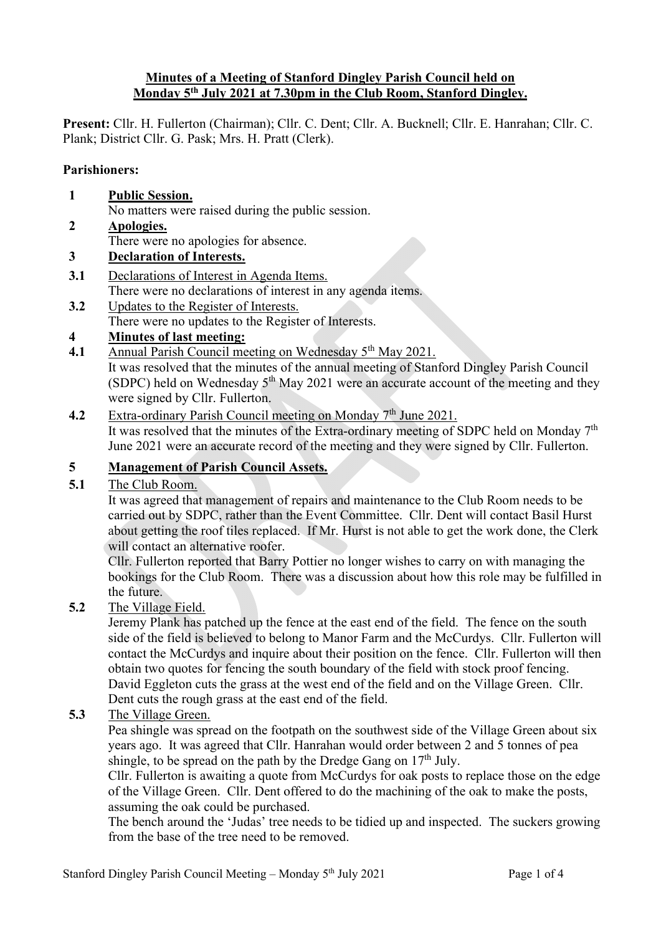#### **Minutes of a Meeting of Stanford Dingley Parish Council held on Monday 5th July 2021 at 7.30pm in the Club Room, Stanford Dingley.**

**Present:** Cllr. H. Fullerton (Chairman); Cllr. C. Dent; Cllr. A. Bucknell; Cllr. E. Hanrahan; Cllr. C. Plank; District Cllr. G. Pask; Mrs. H. Pratt (Clerk).

#### **Parishioners:**

- **1 Public Session.** No matters were raised during the public session. **2 Apologies.** There were no apologies for absence. **3 Declaration of Interests.**
- **3.1** Declarations of Interest in Agenda Items.
	- There were no declarations of interest in any agenda items.
- **3.2** Updates to the Register of Interests. There were no updates to the Register of Interests.

## **4 Minutes of last meeting:**

**4.1** Annual Parish Council meeting on Wednesday 5<sup>th</sup> May 2021.

It was resolved that the minutes of the annual meeting of Stanford Dingley Parish Council (SDPC) held on Wednesday  $5<sup>th</sup>$  May 2021 were an accurate account of the meeting and they were signed by Cllr. Fullerton.

#### **4.2** Extra-ordinary Parish Council meeting on Monday 7<sup>th</sup> June 2021. It was resolved that the minutes of the Extra-ordinary meeting of SDPC held on Monday  $7<sup>th</sup>$ June 2021 were an accurate record of the meeting and they were signed by Cllr. Fullerton.

## **5 Management of Parish Council Assets.**

#### **5.1** The Club Room.

It was agreed that management of repairs and maintenance to the Club Room needs to be carried out by SDPC, rather than the Event Committee. Cllr. Dent will contact Basil Hurst about getting the roof tiles replaced. If Mr. Hurst is not able to get the work done, the Clerk will contact an alternative roofer.

Cllr. Fullerton reported that Barry Pottier no longer wishes to carry on with managing the bookings for the Club Room. There was a discussion about how this role may be fulfilled in the future.

**5.2** The Village Field.

Jeremy Plank has patched up the fence at the east end of the field. The fence on the south side of the field is believed to belong to Manor Farm and the McCurdys. Cllr. Fullerton will contact the McCurdys and inquire about their position on the fence. Cllr. Fullerton will then obtain two quotes for fencing the south boundary of the field with stock proof fencing. David Eggleton cuts the grass at the west end of the field and on the Village Green. Cllr. Dent cuts the rough grass at the east end of the field.

#### **5.3** The Village Green.

Pea shingle was spread on the footpath on the southwest side of the Village Green about six years ago. It was agreed that Cllr. Hanrahan would order between 2 and 5 tonnes of pea shingle, to be spread on the path by the Dredge Gang on  $17<sup>th</sup>$  July.

Cllr. Fullerton is awaiting a quote from McCurdys for oak posts to replace those on the edge of the Village Green. Cllr. Dent offered to do the machining of the oak to make the posts, assuming the oak could be purchased.

The bench around the 'Judas' tree needs to be tidied up and inspected. The suckers growing from the base of the tree need to be removed.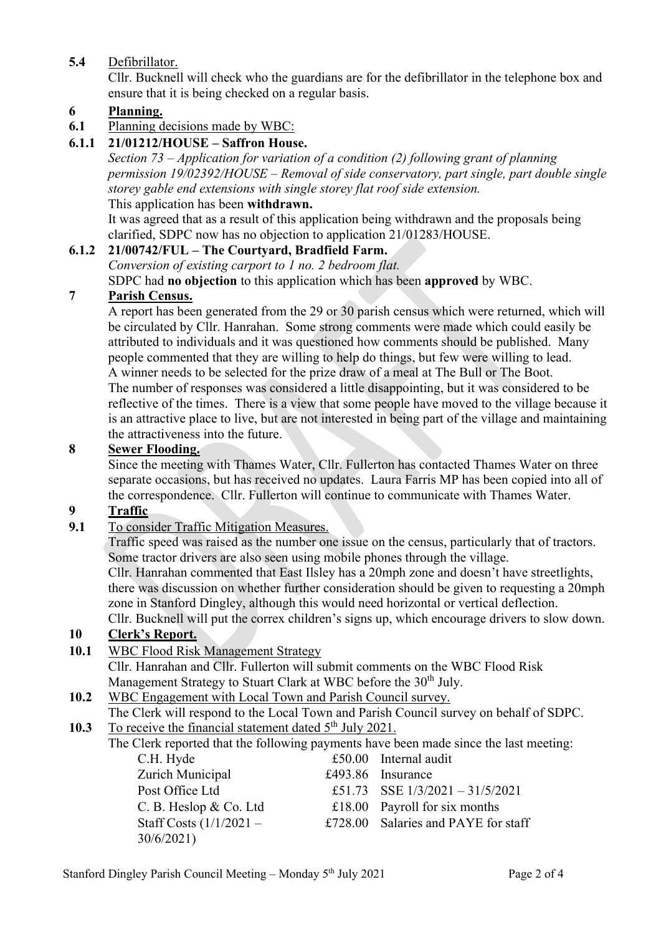## **5.4** Defibrillator.

Cllr. Bucknell will check who the guardians are for the defibrillator in the telephone box and ensure that it is being checked on a regular basis.

#### **6 Planning.**

**6.1** Planning decisions made by WBC:

### **6.1.1 21/01212/HOUSE – Saffron House.**

*Section 73 – Application for variation of a condition (2) following grant of planning permission 19/02392/HOUSE – Removal of side conservatory, part single, part double single storey gable end extensions with single storey flat roof side extension.* This application has been **withdrawn.**

It was agreed that as a result of this application being withdrawn and the proposals being clarified, SDPC now has no objection to application 21/01283/HOUSE.

#### **6.1.2 21/00742/FUL – The Courtyard, Bradfield Farm.**

*Conversion of existing carport to 1 no. 2 bedroom flat.*

SDPC had **no objection** to this application which has been **approved** by WBC.

#### **7 Parish Census.**

A report has been generated from the 29 or 30 parish census which were returned, which will be circulated by Cllr. Hanrahan. Some strong comments were made which could easily be attributed to individuals and it was questioned how comments should be published. Many people commented that they are willing to help do things, but few were willing to lead. A winner needs to be selected for the prize draw of a meal at The Bull or The Boot. The number of responses was considered a little disappointing, but it was considered to be reflective of the times. There is a view that some people have moved to the village because it is an attractive place to live, but are not interested in being part of the village and maintaining the attractiveness into the future.

#### **8 Sewer Flooding.**

Since the meeting with Thames Water, Cllr. Fullerton has contacted Thames Water on three separate occasions, but has received no updates. Laura Farris MP has been copied into all of the correspondence. Cllr. Fullerton will continue to communicate with Thames Water.

#### **9 Traffic**

**9.1** To consider Traffic Mitigation Measures.

Traffic speed was raised as the number one issue on the census, particularly that of tractors. Some tractor drivers are also seen using mobile phones through the village. Cllr. Hanrahan commented that East Ilsley has a 20mph zone and doesn't have streetlights, there was discussion on whether further consideration should be given to requesting a 20mph

zone in Stanford Dingley, although this would need horizontal or vertical deflection. Cllr. Bucknell will put the correx children's signs up, which encourage drivers to slow down.

# **10 Clerk's Report.**

**10.1** WBC Flood Risk Management Strategy

Cllr. Hanrahan and Cllr. Fullerton will submit comments on the WBC Flood Risk Management Strategy to Stuart Clark at WBC before the 30<sup>th</sup> July.

#### **10.2** WBC Engagement with Local Town and Parish Council survey.

The Clerk will respond to the Local Town and Parish Council survey on behalf of SDPC.

**10.3** To receive the financial statement dated 5<sup>th</sup> July 2021.

The Clerk reported that the following payments have been made since the last meeting:

| $£50.00$ Internal audit             |
|-------------------------------------|
| £493.86 Insurance                   |
| £51.73 SSE $1/3/2021 - 31/5/2021$   |
| £18.00 Payroll for six months       |
| £728.00 Salaries and PAYE for staff |
|                                     |
|                                     |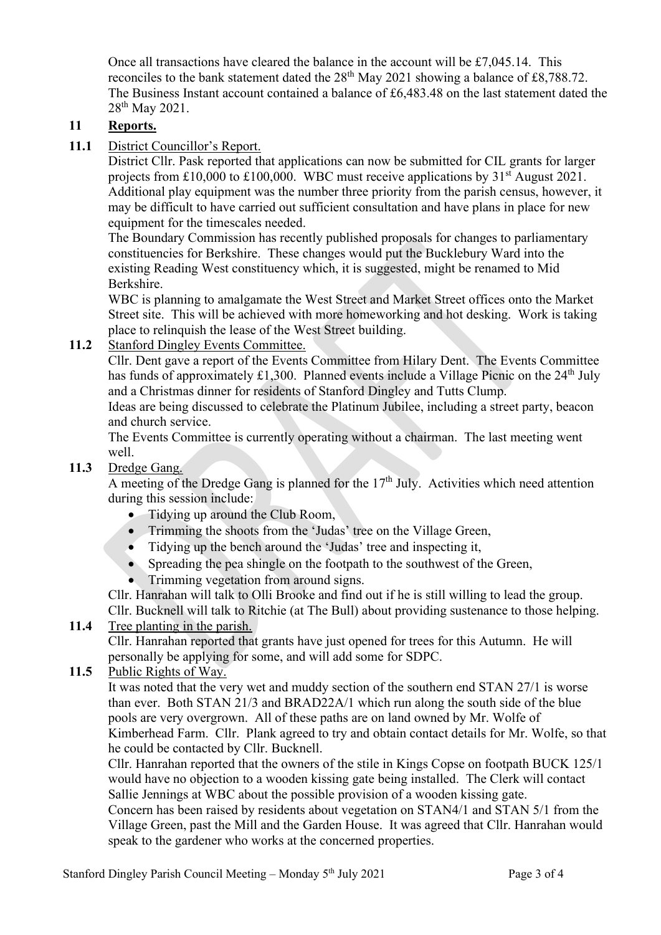Once all transactions have cleared the balance in the account will be  $\text{\pounds}7.045.14$ . This reconciles to the bank statement dated the  $28<sup>th</sup>$  May 2021 showing a balance of £8,788.72. The Business Instant account contained a balance of £6,483.48 on the last statement dated the 28<sup>th</sup> May 2021.

## **11 Reports.**

11.1 District Councillor's Report.

District Cllr. Pask reported that applications can now be submitted for CIL grants for larger projects from £10,000 to £100,000. WBC must receive applications by  $31<sup>st</sup>$  August 2021. Additional play equipment was the number three priority from the parish census, however, it may be difficult to have carried out sufficient consultation and have plans in place for new equipment for the timescales needed.

The Boundary Commission has recently published proposals for changes to parliamentary constituencies for Berkshire. These changes would put the Bucklebury Ward into the existing Reading West constituency which, it is suggested, might be renamed to Mid Berkshire.

WBC is planning to amalgamate the West Street and Market Street offices onto the Market Street site. This will be achieved with more homeworking and hot desking. Work is taking place to relinquish the lease of the West Street building.

**11.2** Stanford Dingley Events Committee.

Cllr. Dent gave a report of the Events Committee from Hilary Dent. The Events Committee has funds of approximately £1,300. Planned events include a Village Picnic on the  $24<sup>th</sup>$  July and a Christmas dinner for residents of Stanford Dingley and Tutts Clump.

Ideas are being discussed to celebrate the Platinum Jubilee, including a street party, beacon and church service.

The Events Committee is currently operating without a chairman. The last meeting went well.

**11.3** Dredge Gang.

A meeting of the Dredge Gang is planned for the  $17<sup>th</sup>$  July. Activities which need attention during this session include:

- Tidying up around the Club Room,
- Trimming the shoots from the 'Judas' tree on the Village Green,
- Tidying up the bench around the 'Judas' tree and inspecting it,
- Spreading the pea shingle on the footpath to the southwest of the Green,
- Trimming vegetation from around signs.

Cllr. Hanrahan will talk to Olli Brooke and find out if he is still willing to lead the group.

Cllr. Bucknell will talk to Ritchie (at The Bull) about providing sustenance to those helping. **11.4** Tree planting in the parish.

Cllr. Hanrahan reported that grants have just opened for trees for this Autumn. He will personally be applying for some, and will add some for SDPC.

#### **11.5** Public Rights of Way.

It was noted that the very wet and muddy section of the southern end STAN 27/1 is worse than ever. Both STAN 21/3 and BRAD22A/1 which run along the south side of the blue pools are very overgrown. All of these paths are on land owned by Mr. Wolfe of Kimberhead Farm. Cllr. Plank agreed to try and obtain contact details for Mr. Wolfe, so that he could be contacted by Cllr. Bucknell.

Cllr. Hanrahan reported that the owners of the stile in Kings Copse on footpath BUCK 125/1 would have no objection to a wooden kissing gate being installed. The Clerk will contact Sallie Jennings at WBC about the possible provision of a wooden kissing gate.

Concern has been raised by residents about vegetation on STAN4/1 and STAN 5/1 from the Village Green, past the Mill and the Garden House. It was agreed that Cllr. Hanrahan would speak to the gardener who works at the concerned properties.